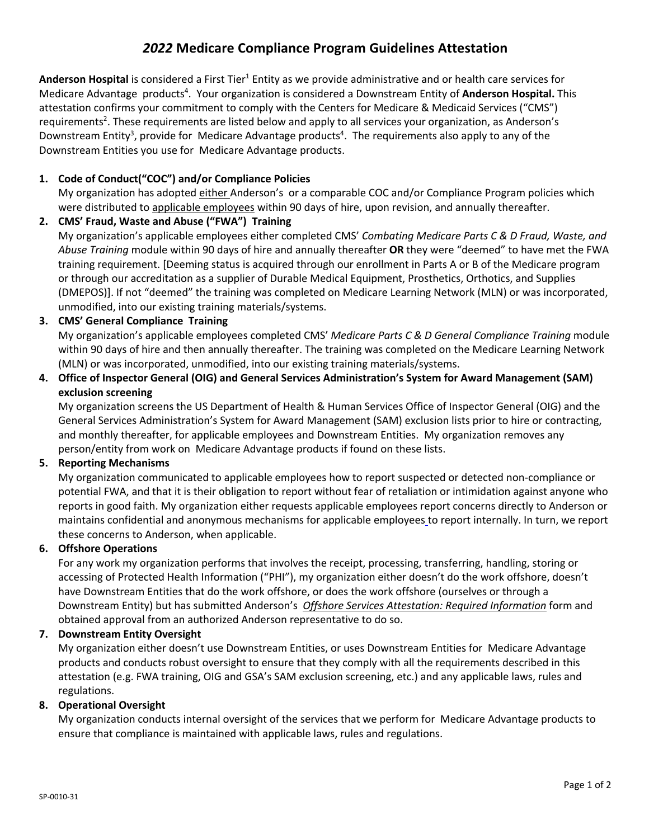# *2022* **Medicare Compliance Program Guidelines Attestation**

**Anderson Hospital** is considered a First Tier<sup>1</sup> Entity as we provide administrative and or health care services for Medicare Advantage products<sup>4</sup>. Your organization is considered a Downstream Entity of Anderson Hospital. This attestation confirms your commitment to comply with the Centers for Medicare & Medicaid Services ("CMS") requirements<sup>2</sup>. These requirements are listed below and apply to all services your organization, as Anderson's Downstream Entity<sup>3</sup>, provide for Medicare Advantage products<sup>4</sup>. The requirements also apply to any of the Downstream Entities you use for Medicare Advantage products.

## **1. Code of Conduct("COC") and/or Compliance Policies**

My organization has adopted either Anderson's or a comparable COC and/or Compliance Program policies which were distributed to applicable employees within 90 days of hire, upon revision, and annually thereafter.

## **2. CMS' Fraud, Waste and Abuse ("FWA") Training**

My organization's applicable employees either completed CMS' *Combating Medicare Parts C & D Fraud, Waste, and Abuse Training* module within 90 days of hire and annually thereafter **OR** they were "deemed" to have met the FWA training requirement. [Deeming status is acquired through our enrollment in Parts A or B of the Medicare program or through our accreditation as a supplier of Durable Medical Equipment, Prosthetics, Orthotics, and Supplies (DMEPOS)]. If not "deemed" the training was completed on Medicare Learning Network (MLN) or was incorporated, unmodified, into our existing training materials/systems.

## **3. CMS' General Compliance Training**

My organization's applicable employees completed CMS' *Medicare Parts C & D General Compliance Training* module within 90 days of hire and then annually thereafter. The training was completed on the Medicare Learning Network (MLN) or was incorporated, unmodified, into our existing training materials/systems.

## **4. Office of Inspector General (OIG) and General Services Administration's System for Award Management (SAM) exclusion screening**

My organization screens the US Department of Health & Human Services Office of Inspector General (OIG) and the General Services Administration's System for Award Management (SAM) exclusion lists prior to hire or contracting, and monthly thereafter, for applicable employees and Downstream Entities. My organization removes any person/entity from work on Medicare Advantage products if found on these lists.

#### **5. Reporting Mechanisms**

My organization communicated to applicable employees how to report suspected or detected non-compliance or potential FWA, and that it is their obligation to report without fear of retaliation or intimidation against anyone who reports in good faith. My organization either requests applicable employees report concerns directly to Anderson or maintains confidential and anonymous mechanisms for applicable employees to report internally. In turn, we report these concerns to Anderson, when applicable.

#### **6. Offshore Operations**

For any work my organization performs that involves the receipt, processing, transferring, handling, storing or accessing of Protected Health Information ("PHI"), my organization either doesn't do the work offshore, doesn't have Downstream Entities that do the work offshore, or does the work offshore (ourselves or through a Downstream Entity) but has submitted Anderson's *Offshore Services Attestation: Required Information* form and obtained approval from an authorized Anderson representative to do so.

#### **7. Downstream Entity Oversight**

My organization either doesn't use Downstream Entities, or uses Downstream Entities for Medicare Advantage products and conducts robust oversight to ensure that they comply with all the requirements described in this attestation (e.g. FWA training, OIG and GSA's SAM exclusion screening, etc.) and any applicable laws, rules and regulations.

#### **8. Operational Oversight**

My organization conducts internal oversight of the services that we perform for Medicare Advantage products to ensure that compliance is maintained with applicable laws, rules and regulations.